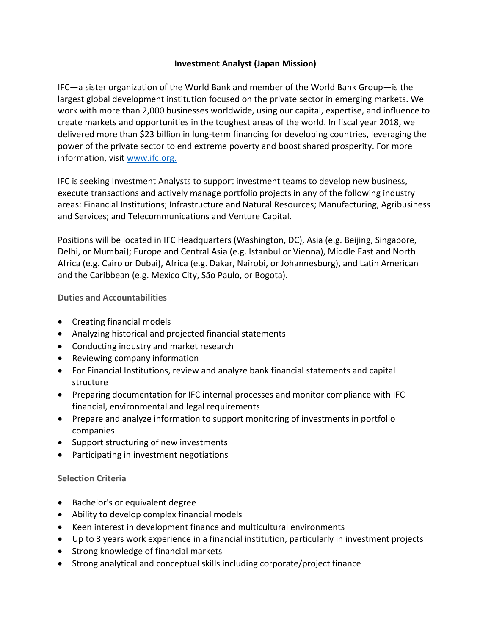## **Investment Analyst (Japan Mission)**

IFC—a sister organization of the World Bank and member of the World Bank Group—is the largest global development institution focused on the private sector in emerging markets. We work with more than 2,000 businesses worldwide, using our capital, expertise, and influence to create markets and opportunities in the toughest areas of the world. In fiscal year 2018, we delivered more than \$23 billion in long-term financing for developing countries, leveraging the power of the private sector to end extreme poverty and boost shared prosperity. For more information, visit [www.ifc.org.](https://www.ifc.org/)

IFC is seeking Investment Analysts to support investment teams to develop new business, execute transactions and actively manage portfolio projects in any of the following industry areas: Financial Institutions; Infrastructure and Natural Resources; Manufacturing, Agribusiness and Services; and Telecommunications and Venture Capital.

Positions will be located in IFC Headquarters (Washington, DC), Asia (e.g. Beijing, Singapore, Delhi, or Mumbai); Europe and Central Asia (e.g. Istanbul or Vienna), Middle East and North Africa (e.g. Cairo or Dubai), Africa (e.g. Dakar, Nairobi, or Johannesburg), and Latin American and the Caribbean (e.g. Mexico City, São Paulo, or Bogota).

**Duties and Accountabilities**

- Creating financial models
- Analyzing historical and projected financial statements
- Conducting industry and market research
- Reviewing company information
- For Financial Institutions, review and analyze bank financial statements and capital structure
- Preparing documentation for IFC internal processes and monitor compliance with IFC financial, environmental and legal requirements
- Prepare and analyze information to support monitoring of investments in portfolio companies
- Support structuring of new investments
- Participating in investment negotiations

## **Selection Criteria**

- Bachelor's or equivalent degree
- Ability to develop complex financial models
- Keen interest in development finance and multicultural environments
- Up to 3 years work experience in a financial institution, particularly in investment projects
- Strong knowledge of financial markets
- Strong analytical and conceptual skills including corporate/project finance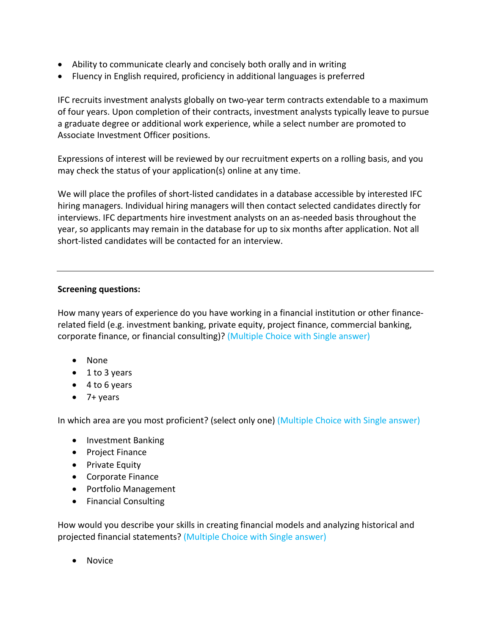- Ability to communicate clearly and concisely both orally and in writing
- Fluency in English required, proficiency in additional languages is preferred

IFC recruits investment analysts globally on two-year term contracts extendable to a maximum of four years. Upon completion of their contracts, investment analysts typically leave to pursue a graduate degree or additional work experience, while a select number are promoted to Associate Investment Officer positions.

Expressions of interest will be reviewed by our recruitment experts on a rolling basis, and you may check the status of your application(s) online at any time.

We will place the profiles of short-listed candidates in a database accessible by interested IFC hiring managers. Individual hiring managers will then contact selected candidates directly for interviews. IFC departments hire investment analysts on an as-needed basis throughout the year, so applicants may remain in the database for up to six months after application. Not all short-listed candidates will be contacted for an interview.

## **Screening questions:**

How many years of experience do you have working in a financial institution or other financerelated field (e.g. investment banking, private equity, project finance, commercial banking, corporate finance, or financial consulting)? (Multiple Choice with Single answer)

- None
- 1 to 3 years
- 4 to 6 years
- 7+ years

In which area are you most proficient? (select only one) (Multiple Choice with Single answer)

- Investment Banking
- Project Finance
- Private Equity
- Corporate Finance
- Portfolio Management
- Financial Consulting

How would you describe your skills in creating financial models and analyzing historical and projected financial statements? (Multiple Choice with Single answer)

• Novice